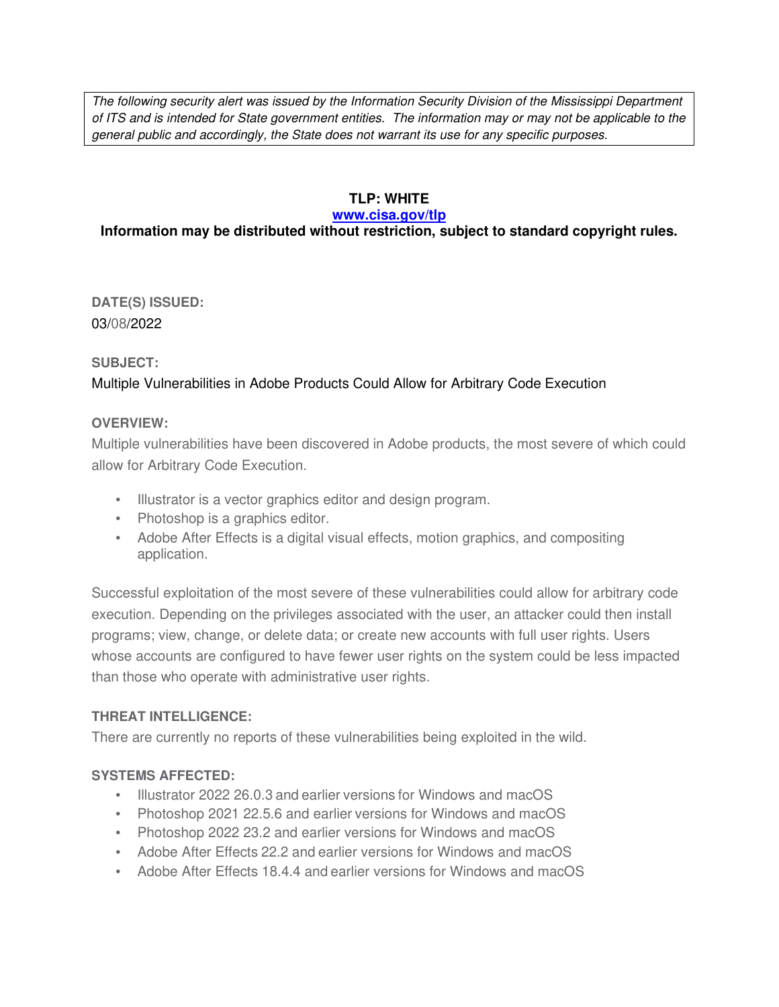The following security alert was issued by the Information Security Division of the Mississippi Department of ITS and is intended for State government entities. The information may or may not be applicable to the general public and accordingly, the State does not warrant its use for any specific purposes.

## **TLP: WHITE**

#### **www.cisa.gov/tlp**

## **Information may be distributed without restriction, subject to standard copyright rules.**

**DATE(S) ISSUED:** 03/08/2022

### **SUBJECT:**

# Multiple Vulnerabilities in Adobe Products Could Allow for Arbitrary Code Execution

### **OVERVIEW:**

Multiple vulnerabilities have been discovered in Adobe products, the most severe of which could allow for Arbitrary Code Execution.

- Illustrator is a vector graphics editor and design program.
- Photoshop is a graphics editor.
- Adobe After Effects is a digital visual effects, motion graphics, and compositing application.

Successful exploitation of the most severe of these vulnerabilities could allow for arbitrary code execution. Depending on the privileges associated with the user, an attacker could then install programs; view, change, or delete data; or create new accounts with full user rights. Users whose accounts are configured to have fewer user rights on the system could be less impacted than those who operate with administrative user rights.

## **THREAT INTELLIGENCE:**

There are currently no reports of these vulnerabilities being exploited in the wild.

## **SYSTEMS AFFECTED:**

- Illustrator 2022 26.0.3 and earlier versions for Windows and macOS
- Photoshop 2021 22.5.6 and earlier versions for Windows and macOS
- Photoshop 2022 23.2 and earlier versions for Windows and macOS
- Adobe After Effects 22.2 and earlier versions for Windows and macOS
- Adobe After Effects 18.4.4 and earlier versions for Windows and macOS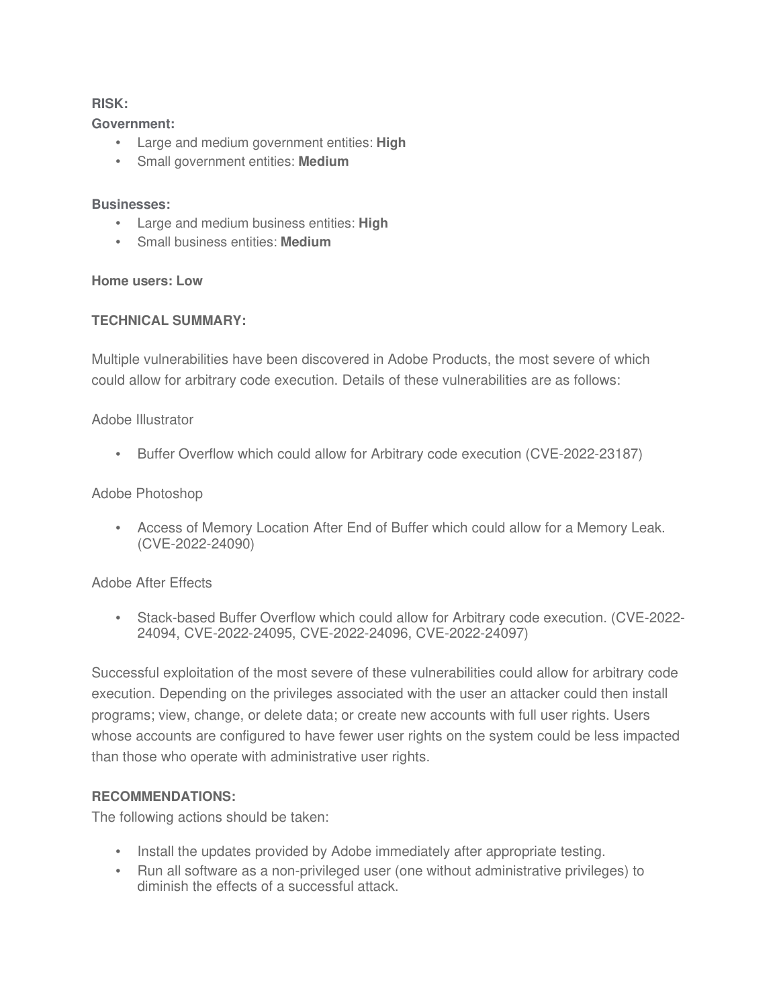### **RISK:**

#### **Government:**

- Large and medium government entities: **High**
- Small government entities: **Medium**

### **Businesses:**

- Large and medium business entities: **High**
- Small business entities: **Medium**

### **Home users: Low**

### **TECHNICAL SUMMARY:**

Multiple vulnerabilities have been discovered in Adobe Products, the most severe of which could allow for arbitrary code execution. Details of these vulnerabilities are as follows:

### Adobe Illustrator

• Buffer Overflow which could allow for Arbitrary code execution (CVE-2022-23187)

## Adobe Photoshop

• Access of Memory Location After End of Buffer which could allow for a Memory Leak. (CVE-2022-24090)

## Adobe After Effects

• Stack-based Buffer Overflow which could allow for Arbitrary code execution. (CVE-2022- 24094, CVE-2022-24095, CVE-2022-24096, CVE-2022-24097)

Successful exploitation of the most severe of these vulnerabilities could allow for arbitrary code execution. Depending on the privileges associated with the user an attacker could then install programs; view, change, or delete data; or create new accounts with full user rights. Users whose accounts are configured to have fewer user rights on the system could be less impacted than those who operate with administrative user rights.

## **RECOMMENDATIONS:**

The following actions should be taken:

- Install the updates provided by Adobe immediately after appropriate testing.
- Run all software as a non-privileged user (one without administrative privileges) to diminish the effects of a successful attack.